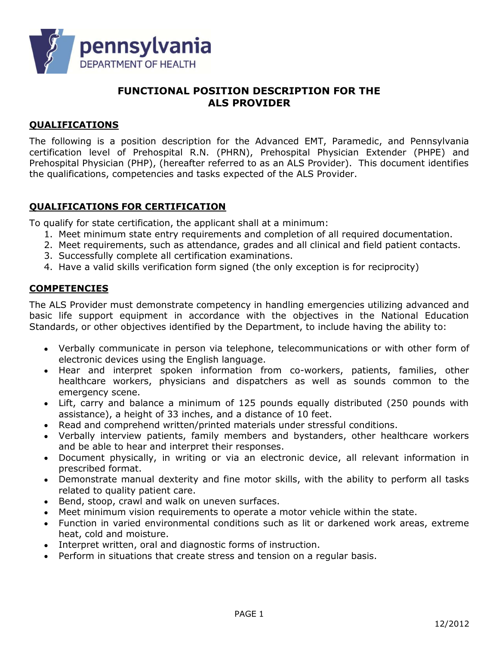

# FUNCTIONAL POSITION DESCRIPTION FOR THE ALS PROVIDER

## QUALIFICATIONS

The following is a position description for the Advanced EMT, Paramedic, and Pennsylvania certification level of Prehospital R.N. (PHRN), Prehospital Physician Extender (PHPE) and Prehospital Physician (PHP), (hereafter referred to as an ALS Provider). This document identifies the qualifications, competencies and tasks expected of the ALS Provider.

### QUALIFICATIONS FOR CERTIFICATION

To qualify for state certification, the applicant shall at a minimum:

- 1. Meet minimum state entry requirements and completion of all required documentation.
- 2. Meet requirements, such as attendance, grades and all clinical and field patient contacts.
- 3. Successfully complete all certification examinations.
- 4. Have a valid skills verification form signed (the only exception is for reciprocity)

### **COMPETENCIES**

The ALS Provider must demonstrate competency in handling emergencies utilizing advanced and basic life support equipment in accordance with the objectives in the National Education Standards, or other objectives identified by the Department, to include having the ability to:

- Verbally communicate in person via telephone, telecommunications or with other form of electronic devices using the English language.
- Hear and interpret spoken information from co-workers, patients, families, other healthcare workers, physicians and dispatchers as well as sounds common to the emergency scene.
- Lift, carry and balance a minimum of 125 pounds equally distributed (250 pounds with assistance), a height of 33 inches, and a distance of 10 feet.
- Read and comprehend written/printed materials under stressful conditions.
- Verbally interview patients, family members and bystanders, other healthcare workers and be able to hear and interpret their responses.
- Document physically, in writing or via an electronic device, all relevant information in prescribed format.
- Demonstrate manual dexterity and fine motor skills, with the ability to perform all tasks related to quality patient care.
- Bend, stoop, crawl and walk on uneven surfaces.
- Meet minimum vision requirements to operate a motor vehicle within the state.
- Function in varied environmental conditions such as lit or darkened work areas, extreme heat, cold and moisture.
- Interpret written, oral and diagnostic forms of instruction.
- Perform in situations that create stress and tension on a regular basis.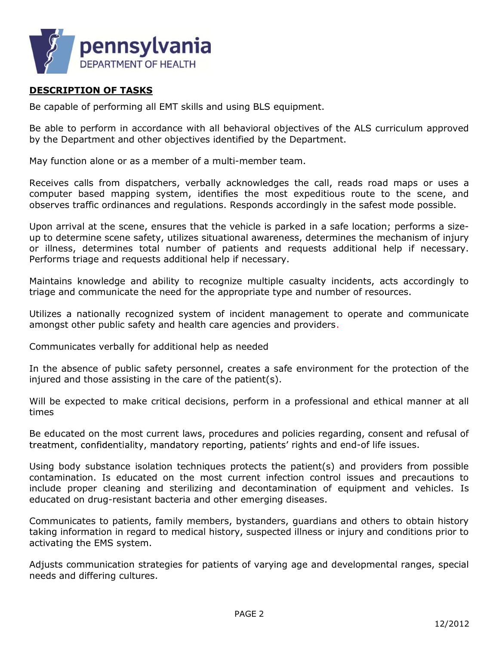

#### DESCRIPTION OF TASKS

Be capable of performing all EMT skills and using BLS equipment.

Be able to perform in accordance with all behavioral objectives of the ALS curriculum approved by the Department and other objectives identified by the Department.

May function alone or as a member of a multi-member team.

Receives calls from dispatchers, verbally acknowledges the call, reads road maps or uses a computer based mapping system, identifies the most expeditious route to the scene, and observes traffic ordinances and regulations. Responds accordingly in the safest mode possible.

Upon arrival at the scene, ensures that the vehicle is parked in a safe location; performs a sizeup to determine scene safety, utilizes situational awareness, determines the mechanism of injury or illness, determines total number of patients and requests additional help if necessary. Performs triage and requests additional help if necessary.

Maintains knowledge and ability to recognize multiple casualty incidents, acts accordingly to triage and communicate the need for the appropriate type and number of resources.

Utilizes a nationally recognized system of incident management to operate and communicate amongst other public safety and health care agencies and providers.

Communicates verbally for additional help as needed

In the absence of public safety personnel, creates a safe environment for the protection of the injured and those assisting in the care of the patient(s).

Will be expected to make critical decisions, perform in a professional and ethical manner at all times

Be educated on the most current laws, procedures and policies regarding, consent and refusal of treatment, confidentiality, mandatory reporting, patients' rights and end-of life issues.

Using body substance isolation techniques protects the patient(s) and providers from possible contamination. Is educated on the most current infection control issues and precautions to include proper cleaning and sterilizing and decontamination of equipment and vehicles. Is educated on drug-resistant bacteria and other emerging diseases.

Communicates to patients, family members, bystanders, guardians and others to obtain history taking information in regard to medical history, suspected illness or injury and conditions prior to activating the EMS system.

Adjusts communication strategies for patients of varying age and developmental ranges, special needs and differing cultures.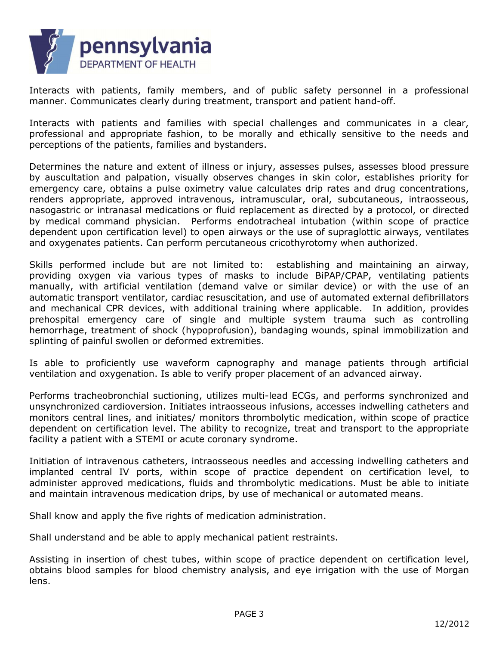

Interacts with patients, family members, and of public safety personnel in a professional manner. Communicates clearly during treatment, transport and patient hand-off.

Interacts with patients and families with special challenges and communicates in a clear, professional and appropriate fashion, to be morally and ethically sensitive to the needs and perceptions of the patients, families and bystanders.

Determines the nature and extent of illness or injury, assesses pulses, assesses blood pressure by auscultation and palpation, visually observes changes in skin color, establishes priority for emergency care, obtains a pulse oximetry value calculates drip rates and drug concentrations, renders appropriate, approved intravenous, intramuscular, oral, subcutaneous, intraosseous, nasogastric or intranasal medications or fluid replacement as directed by a protocol, or directed by medical command physician. Performs endotracheal intubation (within scope of practice dependent upon certification level) to open airways or the use of supraglottic airways, ventilates and oxygenates patients. Can perform percutaneous cricothyrotomy when authorized.

Skills performed include but are not limited to: establishing and maintaining an airway, providing oxygen via various types of masks to include BiPAP/CPAP, ventilating patients manually, with artificial ventilation (demand valve or similar device) or with the use of an automatic transport ventilator, cardiac resuscitation, and use of automated external defibrillators and mechanical CPR devices, with additional training where applicable. In addition, provides prehospital emergency care of single and multiple system trauma such as controlling hemorrhage, treatment of shock (hypoprofusion), bandaging wounds, spinal immobilization and splinting of painful swollen or deformed extremities.

Is able to proficiently use waveform capnography and manage patients through artificial ventilation and oxygenation. Is able to verify proper placement of an advanced airway.

Performs tracheobronchial suctioning, utilizes multi-lead ECGs, and performs synchronized and unsynchronized cardioversion. Initiates intraosseous infusions, accesses indwelling catheters and monitors central lines, and initiates/ monitors thrombolytic medication, within scope of practice dependent on certification level. The ability to recognize, treat and transport to the appropriate facility a patient with a STEMI or acute coronary syndrome.

Initiation of intravenous catheters, intraosseous needles and accessing indwelling catheters and implanted central IV ports, within scope of practice dependent on certification level, to administer approved medications, fluids and thrombolytic medications. Must be able to initiate and maintain intravenous medication drips, by use of mechanical or automated means.

Shall know and apply the five rights of medication administration.

Shall understand and be able to apply mechanical patient restraints.

Assisting in insertion of chest tubes, within scope of practice dependent on certification level, obtains blood samples for blood chemistry analysis, and eye irrigation with the use of Morgan lens.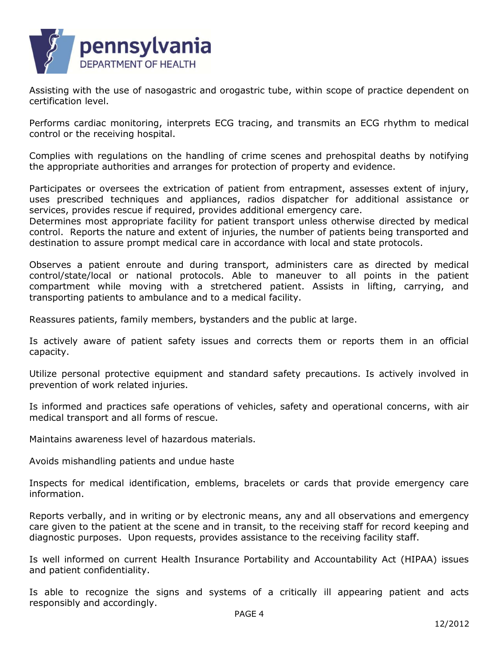

Assisting with the use of nasogastric and orogastric tube, within scope of practice dependent on certification level.

Performs cardiac monitoring, interprets ECG tracing, and transmits an ECG rhythm to medical control or the receiving hospital.

Complies with regulations on the handling of crime scenes and prehospital deaths by notifying the appropriate authorities and arranges for protection of property and evidence.

Participates or oversees the extrication of patient from entrapment, assesses extent of injury, uses prescribed techniques and appliances, radios dispatcher for additional assistance or services, provides rescue if required, provides additional emergency care.

Determines most appropriate facility for patient transport unless otherwise directed by medical control. Reports the nature and extent of injuries, the number of patients being transported and destination to assure prompt medical care in accordance with local and state protocols.

Observes a patient enroute and during transport, administers care as directed by medical control/state/local or national protocols. Able to maneuver to all points in the patient compartment while moving with a stretchered patient. Assists in lifting, carrying, and transporting patients to ambulance and to a medical facility.

Reassures patients, family members, bystanders and the public at large.

Is actively aware of patient safety issues and corrects them or reports them in an official capacity.

Utilize personal protective equipment and standard safety precautions. Is actively involved in prevention of work related injuries.

Is informed and practices safe operations of vehicles, safety and operational concerns, with air medical transport and all forms of rescue.

Maintains awareness level of hazardous materials.

Avoids mishandling patients and undue haste

Inspects for medical identification, emblems, bracelets or cards that provide emergency care information.

Reports verbally, and in writing or by electronic means, any and all observations and emergency care given to the patient at the scene and in transit, to the receiving staff for record keeping and diagnostic purposes. Upon requests, provides assistance to the receiving facility staff.

Is well informed on current Health Insurance Portability and Accountability Act (HIPAA) issues and patient confidentiality.

Is able to recognize the signs and systems of a critically ill appearing patient and acts responsibly and accordingly.